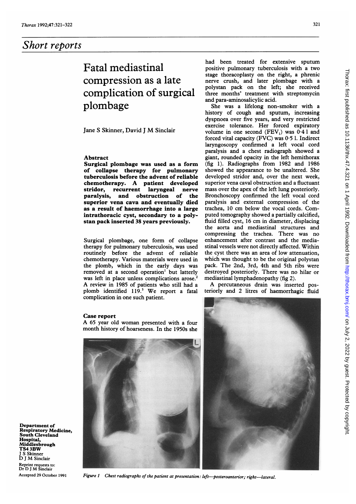## Short reports

# Fatal mediastinal compression as a late complication of surgical plombage

Jane <sup>S</sup> Skinner, David <sup>J</sup> M Sinclair

### Abstract

Surgical plombage was used as a form of collapse therapy for pulmonary tuberculosis before the advent of reliable chemotherapy. A patient developed stridor, recurrent laryngeal<br>paralysis, and obstruction and obstruction of the superior vena cava and eventually died as a result of haemorrhage into a large intrathoracic cyst, secondary to a polystan pack inserted 38 years previously.

Surgical plombage, one form of collapse therapy for pulmonary tuberculosis, was used routinely before the advent of reliable chemotherapy. Various materials were used in the plomb, which in the early days was removed at a second operation' but latterly was left in place unless complications arose.<sup>2</sup> A review in <sup>1985</sup> of patients who still had <sup>a</sup> plomb identified 119.3 We report <sup>a</sup> fatal complication in one such patient.

### Case report

A <sup>65</sup> year old woman presented with <sup>a</sup> four month history of hoarseness. In the 1950s she

Department of Respiratory Medicine, South Cleveland Hospital, Middlesbrough TS4 3BW S Skinner D <sup>J</sup> M Sinclair Reprint requests to: Dr D <sup>J</sup> M Sinclair Accepted 29 October 1991



.... L

had been treated for extensive sputum positive pulmonary tuberculosis with a two stage thoracoplasty on the right, a phrenic nerve crush, and later plombage with a polystan pack on the left; she received three months' treatment with streptomycin and para-aminosalicylic acid.

She was a lifelong non-smoker with a history of cough and sputum, increasing dyspnoea over five years, and very restricted exercise tolerance. Her forced expiratory volume in one second  $(FEV_1)$  was  $0.41$  and forced vital capacity (FVC) was  $0.5$  l. Indirect laryngoscopy confirmed a left vocal cord paralysis and a chest radiograph showed a giant, rounded opacity in the left hemithorax (fig 1). Radiographs from 1982 and 1986 showed the appearance to be unaltered. She developed stridor and, over the next week, superior vena caval obstruction and a fluctuant mass over the apex of the left lung posteriorly. Bronchoscopy confirmed the left vocal cord paralysis and external compression of the trachea, <sup>10</sup> cm below the vocal cords. Computed tomography showed a partially calcified, fluid filled cyst, <sup>16</sup> cm in diameter, displacing the aorta and mediastinal structures and compressing the trachea. There was no enhancement after contrast and the mediastinal vessels were not directly affected. Within the cyst there was an area of low attenuation, which was thought to be the original polystan pack. The 2nd, 3rd, 4th and 5th ribs were destroyed posteriorly. There was no hilar or mediastinal lymphadenopathy (fig 2).

A percutaneous drain was inserted posteriorly and 2 litres of haemorrhagic fluid